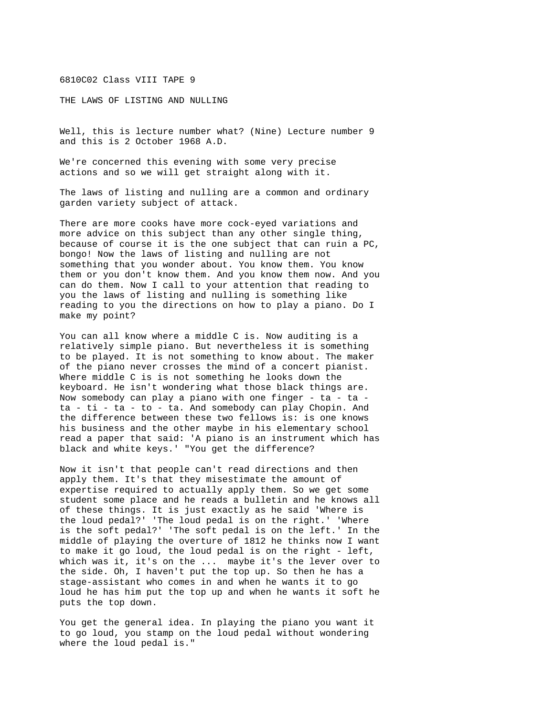6810C02 Class VIII TAPE 9

THE LAWS OF LISTING AND NULLING

Well, this is lecture number what? (Nine) Lecture number 9 and this is 2 October 1968 A.D.

We're concerned this evening with some very precise actions and so we will get straight along with it.

The laws of listing and nulling are a common and ordinary garden variety subject of attack.

There are more cooks have more cock-eyed variations and more advice on this subject than any other single thing, because of course it is the one subject that can ruin a PC, bongo! Now the laws of listing and nulling are not something that you wonder about. You know them. You know them or you don't know them. And you know them now. And you can do them. Now I call to your attention that reading to you the laws of listing and nulling is something like reading to you the directions on how to play a piano. Do I make my point?

You can all know where a middle C is. Now auditing is a relatively simple piano. But nevertheless it is something to be played. It is not something to know about. The maker of the piano never crosses the mind of a concert pianist. Where middle C is is not something he looks down the keyboard. He isn't wondering what those black things are. Now somebody can play a piano with one finger - ta - ta ta - ti - ta - to - ta. And somebody can play Chopin. And the difference between these two fellows is: is one knows his business and the other maybe in his elementary school read a paper that said: 'A piano is an instrument which has black and white keys.' "You get the difference?

Now it isn't that people can't read directions and then apply them. It's that they misestimate the amount of expertise required to actually apply them. So we get some student some place and he reads a bulletin and he knows all of these things. It is just exactly as he said 'Where is the loud pedal?' 'The loud pedal is on the right.' 'Where is the soft pedal?' 'The soft pedal is on the left.' In the middle of playing the overture of 1812 he thinks now I want to make it go loud, the loud pedal is on the right - left, which was it, it's on the ... maybe it's the lever over to the side. Oh, I haven't put the top up. So then he has a stage-assistant who comes in and when he wants it to go loud he has him put the top up and when he wants it soft he puts the top down.

You get the general idea. In playing the piano you want it to go loud, you stamp on the loud pedal without wondering where the loud pedal is."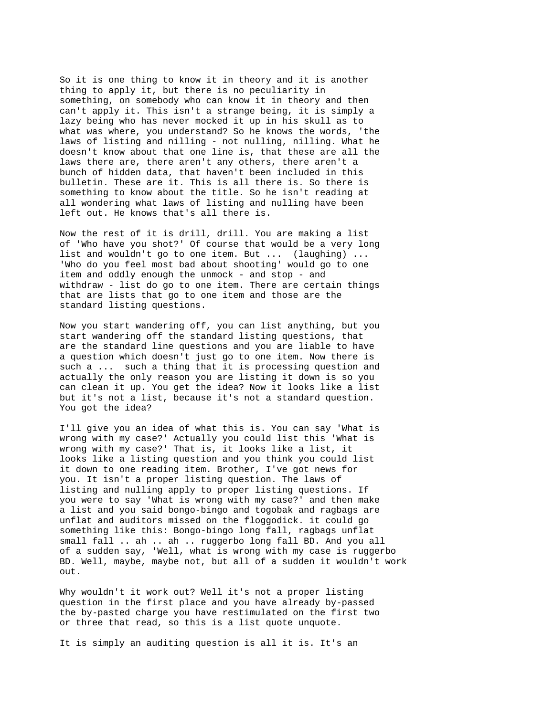So it is one thing to know it in theory and it is another thing to apply it, but there is no peculiarity in something, on somebody who can know it in theory and then can't apply it. This isn't a strange being, it is simply a lazy being who has never mocked it up in his skull as to what was where, you understand? So he knows the words, 'the laws of listing and nilling - not nulling, nilling. What he doesn't know about that one line is, that these are all the laws there are, there aren't any others, there aren't a bunch of hidden data, that haven't been included in this bulletin. These are it. This is all there is. So there is something to know about the title. So he isn't reading at all wondering what laws of listing and nulling have been left out. He knows that's all there is.

Now the rest of it is drill, drill. You are making a list of 'Who have you shot?' Of course that would be a very long list and wouldn't go to one item. But ... (laughing) ... 'Who do you feel most bad about shooting' would go to one item and oddly enough the unmock - and stop - and withdraw - list do go to one item. There are certain things that are lists that go to one item and those are the standard listing questions.

Now you start wandering off, you can list anything, but you start wandering off the standard listing questions, that are the standard line questions and you are liable to have a question which doesn't just go to one item. Now there is such a ... such a thing that it is processing question and actually the only reason you are listing it down is so you can clean it up. You get the idea? Now it looks like a list but it's not a list, because it's not a standard question. You got the idea?

I'll give you an idea of what this is. You can say 'What is wrong with my case?' Actually you could list this 'What is wrong with my case?' That is, it looks like a list, it looks like a listing question and you think you could list it down to one reading item. Brother, I've got news for you. It isn't a proper listing question. The laws of listing and nulling apply to proper listing questions. If you were to say 'What is wrong with my case?' and then make a list and you said bongo-bingo and togobak and ragbags are unflat and auditors missed on the floggodick. it could go something like this: Bongo-bingo long fall, ragbags unflat small fall .. ah .. ah .. ruggerbo long fall BD. And you all of a sudden say, 'Well, what is wrong with my case is ruggerbo BD. Well, maybe, maybe not, but all of a sudden it wouldn't work out.

Why wouldn't it work out? Well it's not a proper listing question in the first place and you have already by-passed the by-pasted charge you have restimulated on the first two or three that read, so this is a list quote unquote.

It is simply an auditing question is all it is. It's an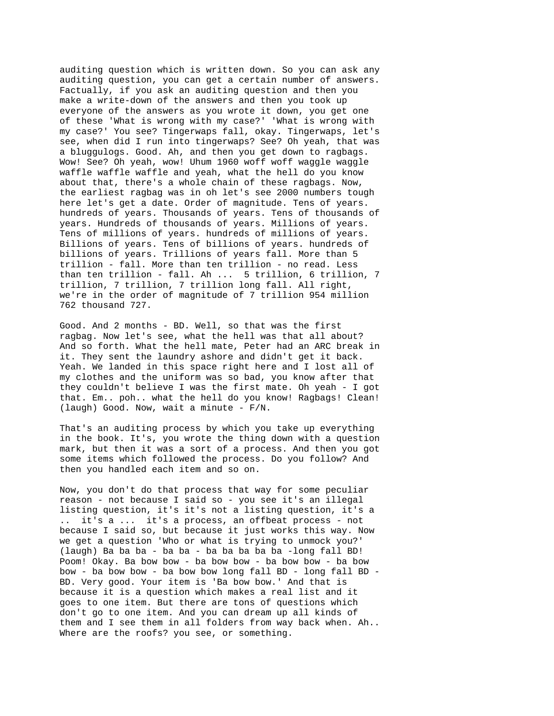auditing question which is written down. So you can ask any auditing question, you can get a certain number of answers. Factually, if you ask an auditing question and then you make a write-down of the answers and then you took up everyone of the answers as you wrote it down, you get one of these 'What is wrong with my case?' 'What is wrong with my case?' You see? Tingerwaps fall, okay. Tingerwaps, let's see, when did I run into tingerwaps? See? Oh yeah, that was a bluggulogs. Good. Ah, and then you get down to ragbags. Wow! See? Oh yeah, wow! Uhum 1960 woff woff waggle waggle waffle waffle waffle and yeah, what the hell do you know about that, there's a whole chain of these ragbags. Now, the earliest ragbag was in oh let's see 2000 numbers tough here let's get a date. Order of magnitude. Tens of years. hundreds of years. Thousands of years. Tens of thousands of years. Hundreds of thousands of years. Millions of years. Tens of millions of years. hundreds of millions of years. Billions of years. Tens of billions of years. hundreds of billions of years. Trillions of years fall. More than 5 trillion - fall. More than ten trillion - no read. Less than ten trillion - fall. Ah ... 5 trillion, 6 trillion, 7 trillion, 7 trillion, 7 trillion long fall. All right, we're in the order of magnitude of 7 trillion 954 million 762 thousand 727.

Good. And 2 months - BD. Well, so that was the first ragbag. Now let's see, what the hell was that all about? And so forth. What the hell mate, Peter had an ARC break in it. They sent the laundry ashore and didn't get it back. Yeah. We landed in this space right here and I lost all of my clothes and the uniform was so bad, you know after that they couldn't believe I was the first mate. Oh yeah - I got that. Em.. poh.. what the hell do you know! Ragbags! Clean! (laugh) Good. Now, wait a minute - F/N.

That's an auditing process by which you take up everything in the book. It's, you wrote the thing down with a question mark, but then it was a sort of a process. And then you got some items which followed the process. Do you follow? And then you handled each item and so on.

Now, you don't do that process that way for some peculiar reason - not because I said so - you see it's an illegal listing question, it's it's not a listing question, it's a .. it's a ... it's a process, an offbeat process - not because I said so, but because it just works this way. Now we get a question 'Who or what is trying to unmock you?' (laugh) Ba ba ba - ba ba - ba ba ba ba ba -long fall BD! Poom! Okay. Ba bow bow - ba bow bow - ba bow bow - ba bow bow - ba bow bow - ba bow bow long fall BD - long fall BD - BD. Very good. Your item is 'Ba bow bow.' And that is because it is a question which makes a real list and it goes to one item. But there are tons of questions which don't go to one item. And you can dream up all kinds of them and I see them in all folders from way back when. Ah.. Where are the roofs? you see, or something.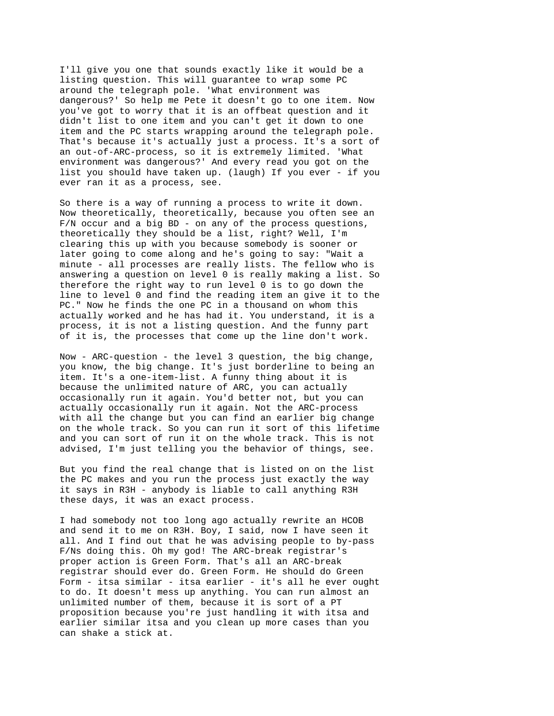I'll give you one that sounds exactly like it would be a listing question. This will guarantee to wrap some PC around the telegraph pole. 'What environment was dangerous?' So help me Pete it doesn't go to one item. Now you've got to worry that it is an offbeat question and it didn't list to one item and you can't get it down to one item and the PC starts wrapping around the telegraph pole. That's because it's actually just a process. It's a sort of an out-of-ARC-process, so it is extremely limited. 'What environment was dangerous?' And every read you got on the list you should have taken up. (laugh) If you ever - if you ever ran it as a process, see.

So there is a way of running a process to write it down. Now theoretically, theoretically, because you often see an F/N occur and a big BD - on any of the process questions, theoretically they should be a list, right? Well, I'm clearing this up with you because somebody is sooner or later going to come along and he's going to say: "Wait a minute - all processes are really lists. The fellow who is answering a question on level 0 is really making a list. So therefore the right way to run level 0 is to go down the line to level 0 and find the reading item an give it to the PC." Now he finds the one PC in a thousand on whom this actually worked and he has had it. You understand, it is a process, it is not a listing question. And the funny part of it is, the processes that come up the line don't work.

Now - ARC-question - the level 3 question, the big change, you know, the big change. It's just borderline to being an item. It's a one-item-list. A funny thing about it is because the unlimited nature of ARC, you can actually occasionally run it again. You'd better not, but you can actually occasionally run it again. Not the ARC-process with all the change but you can find an earlier big change on the whole track. So you can run it sort of this lifetime and you can sort of run it on the whole track. This is not advised, I'm just telling you the behavior of things, see.

But you find the real change that is listed on on the list the PC makes and you run the process just exactly the way it says in R3H - anybody is liable to call anything R3H these days, it was an exact process.

I had somebody not too long ago actually rewrite an HCOB and send it to me on R3H. Boy, I said, now I have seen it all. And I find out that he was advising people to by-pass F/Ns doing this. Oh my god! The ARC-break registrar's proper action is Green Form. That's all an ARC-break registrar should ever do. Green Form. He should do Green Form - itsa similar - itsa earlier - it's all he ever ought to do. It doesn't mess up anything. You can run almost an unlimited number of them, because it is sort of a PT proposition because you're just handling it with itsa and earlier similar itsa and you clean up more cases than you can shake a stick at.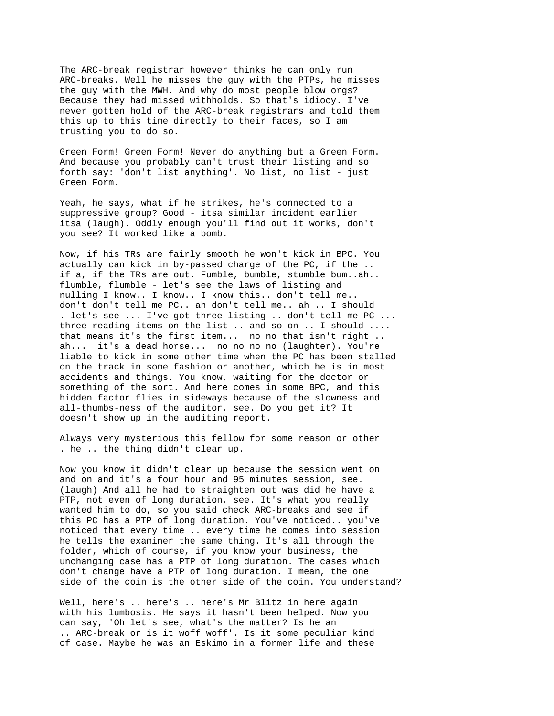The ARC-break registrar however thinks he can only run ARC-breaks. Well he misses the guy with the PTPs, he misses the guy with the MWH. And why do most people blow orgs? Because they had missed withholds. So that's idiocy. I've never gotten hold of the ARC-break registrars and told them this up to this time directly to their faces, so I am trusting you to do so.

Green Form! Green Form! Never do anything but a Green Form. And because you probably can't trust their listing and so forth say: 'don't list anything'. No list, no list - just Green Form.

Yeah, he says, what if he strikes, he's connected to a suppressive group? Good - itsa similar incident earlier itsa (laugh). Oddly enough you'll find out it works, don't you see? It worked like a bomb.

Now, if his TRs are fairly smooth he won't kick in BPC. You actually can kick in by-passed charge of the PC, if the .. if a, if the TRs are out. Fumble, bumble, stumble bum..ah.. flumble, flumble - let's see the laws of listing and nulling I know.. I know.. I know this.. don't tell me.. don't don't tell me PC.. ah don't tell me.. ah .. I should . let's see ... I've got three listing .. don't tell me PC ... three reading items on the list .. and so on .. I should .... that means it's the first item... no no that isn't right .. ah... it's a dead horse... no no no no (laughter). You're liable to kick in some other time when the PC has been stalled on the track in some fashion or another, which he is in most accidents and things. You know, waiting for the doctor or something of the sort. And here comes in some BPC, and this hidden factor flies in sideways because of the slowness and all-thumbs-ness of the auditor, see. Do you get it? It doesn't show up in the auditing report.

Always very mysterious this fellow for some reason or other . he .. the thing didn't clear up.

Now you know it didn't clear up because the session went on and on and it's a four hour and 95 minutes session, see. (laugh) And all he had to straighten out was did he have a PTP, not even of long duration, see. It's what you really wanted him to do, so you said check ARC-breaks and see if this PC has a PTP of long duration. You've noticed.. you've noticed that every time .. every time he comes into session he tells the examiner the same thing. It's all through the folder, which of course, if you know your business, the unchanging case has a PTP of long duration. The cases which don't change have a PTP of long duration. I mean, the one side of the coin is the other side of the coin. You understand?

Well, here's .. here's .. here's Mr Blitz in here again with his lumbosis. He says it hasn't been helped. Now you can say, 'Oh let's see, what's the matter? Is he an .. ARC-break or is it woff woff'. Is it some peculiar kind of case. Maybe he was an Eskimo in a former life and these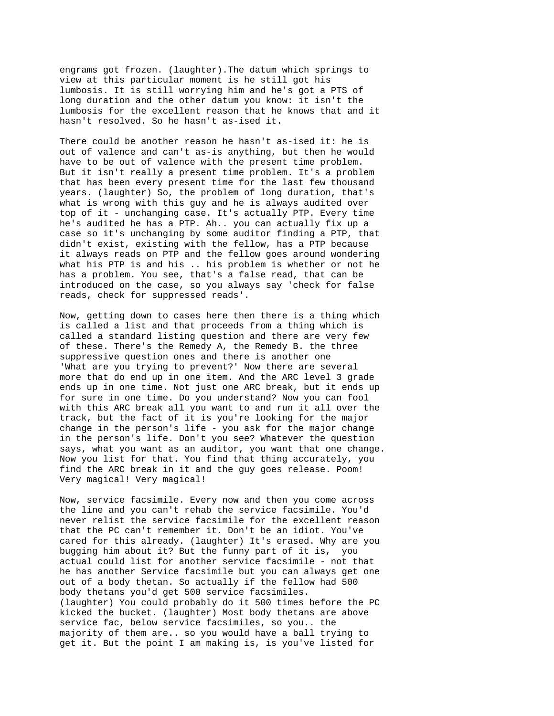engrams got frozen. (laughter).The datum which springs to view at this particular moment is he still got his lumbosis. It is still worrying him and he's got a PTS of long duration and the other datum you know: it isn't the lumbosis for the excellent reason that he knows that and it hasn't resolved. So he hasn't as-ised it.

There could be another reason he hasn't as-ised it: he is out of valence and can't as-is anything, but then he would have to be out of valence with the present time problem. But it isn't really a present time problem. It's a problem that has been every present time for the last few thousand years. (laughter) So, the problem of long duration, that's what is wrong with this guy and he is always audited over top of it - unchanging case. It's actually PTP. Every time he's audited he has a PTP. Ah.. you can actually fix up a case so it's unchanging by some auditor finding a PTP, that didn't exist, existing with the fellow, has a PTP because it always reads on PTP and the fellow goes around wondering what his PTP is and his .. his problem is whether or not he has a problem. You see, that's a false read, that can be introduced on the case, so you always say 'check for false reads, check for suppressed reads'.

Now, getting down to cases here then there is a thing which is called a list and that proceeds from a thing which is called a standard listing question and there are very few of these. There's the Remedy A, the Remedy B. the three suppressive question ones and there is another one 'What are you trying to prevent?' Now there are several more that do end up in one item. And the ARC level 3 grade ends up in one time. Not just one ARC break, but it ends up for sure in one time. Do you understand? Now you can fool with this ARC break all you want to and run it all over the track, but the fact of it is you're looking for the major change in the person's life - you ask for the major change in the person's life. Don't you see? Whatever the question says, what you want as an auditor, you want that one change. Now you list for that. You find that thing accurately, you find the ARC break in it and the guy goes release. Poom! Very magical! Very magical!

Now, service facsimile. Every now and then you come across the line and you can't rehab the service facsimile. You'd never relist the service facsimile for the excellent reason that the PC can't remember it. Don't be an idiot. You've cared for this already. (laughter) It's erased. Why are you bugging him about it? But the funny part of it is, you actual could list for another service facsimile - not that he has another Service facsimile but you can always get one out of a body thetan. So actually if the fellow had 500 body thetans you'd get 500 service facsimiles. (laughter) You could probably do it 500 times before the PC kicked the bucket. (laughter) Most body thetans are above service fac, below service facsimiles, so you.. the majority of them are.. so you would have a ball trying to get it. But the point I am making is, is you've listed for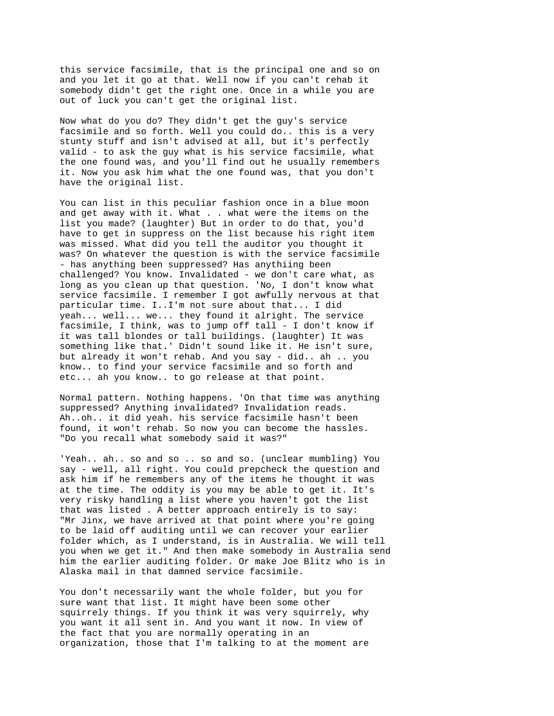this service facsimile, that is the principal one and so on and you let it go at that. Well now if you can't rehab it somebody didn't get the right one. Once in a while you are out of luck you can't get the original list.

Now what do you do? They didn't get the guy's service facsimile and so forth. Well you could do.. this is a very stunty stuff and isn't advised at all, but it's perfectly valid - to ask the guy what is his service facsimile, what the one found was, and you'll find out he usually remembers it. Now you ask him what the one found was, that you don't have the original list.

You can list in this peculiar fashion once in a blue moon and get away with it. What . . what were the items on the list you made? (laughter) But in order to do that, you'd have to get in suppress on the list because his right item was missed. What did you tell the auditor you thought it was? On whatever the question is with the service facsimile - has anything been suppressed? Has anythiing been challenged? You know. Invalidated - we don't care what, as long as you clean up that question. 'No, I don't know what service facsimile. I remember I got awfully nervous at that particular time. I..I'm not sure about that... I did yeah... well... we... they found it alright. The service facsimile, I think, was to jump off tall - I don't know if it was tall blondes or tall buildings. (laughter) It was something like that.' Didn't sound like it. He isn't sure, but already it won't rehab. And you say - did.. ah .. you know.. to find your service facsimile and so forth and etc... ah you know.. to go release at that point.

Normal pattern. Nothing happens. 'On that time was anything suppressed? Anything invalidated? Invalidation reads. Ah..oh.. it did yeah. his service facsimile hasn't been found, it won't rehab. So now you can become the hassles. "Do you recall what somebody said it was?"

'Yeah.. ah.. so and so .. so and so. (unclear mumbling) You say - well, all right. You could prepcheck the question and ask him if he remembers any of the items he thought it was at the time. The oddity is you may be able to get it. It's very risky handling a list where you haven't got the list that was listed . A better approach entirely is to say: "Mr Jinx, we have arrived at that point where you're going to be laid off auditing until we can recover your earlier folder which, as I understand, is in Australia. We will tell you when we get it." And then make somebody in Australia send him the earlier auditing folder. Or make Joe Blitz who is in Alaska mail in that damned service facsimile.

You don't necessarily want the whole folder, but you for sure want that list. It might have been some other squirrely things. If you think it was very squirrely, why you want it all sent in. And you want it now. In view of the fact that you are normally operating in an organization, those that I'm talking to at the moment are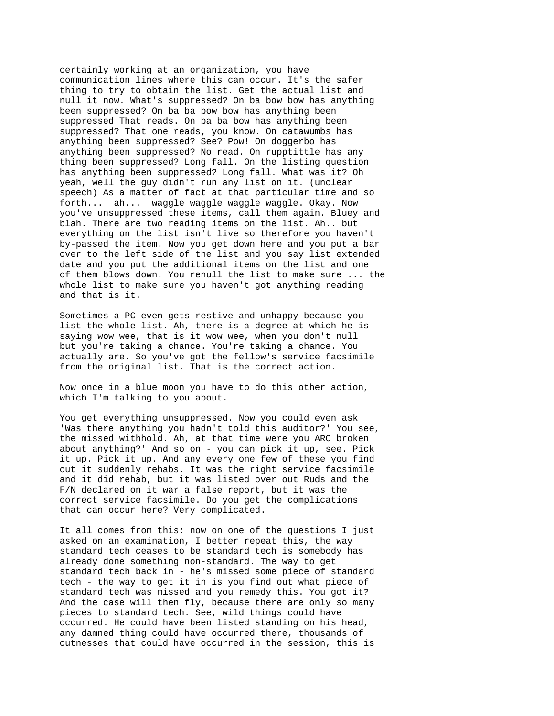certainly working at an organization, you have communication lines where this can occur. It's the safer thing to try to obtain the list. Get the actual list and null it now. What's suppressed? On ba bow bow has anything been suppressed? On ba ba bow bow has anything been suppressed That reads. On ba ba bow has anything been suppressed? That one reads, you know. On catawumbs has anything been suppressed? See? Pow! On doggerbo has anything been suppressed? No read. On rupptittle has any thing been suppressed? Long fall. On the listing question has anything been suppressed? Long fall. What was it? Oh yeah, well the guy didn't run any list on it. (unclear speech) As a matter of fact at that particular time and so forth... ah... waggle waggle waggle waggle. Okay. Now you've unsuppressed these items, call them again. Bluey and blah. There are two reading items on the list. Ah.. but everything on the list isn't live so therefore you haven't by-passed the item. Now you get down here and you put a bar over to the left side of the list and you say list extended date and you put the additional items on the list and one of them blows down. You renull the list to make sure ... the whole list to make sure you haven't got anything reading and that is it.

Sometimes a PC even gets restive and unhappy because you list the whole list. Ah, there is a degree at which he is saying wow wee, that is it wow wee, when you don't null but you're taking a chance. You're taking a chance. You actually are. So you've got the fellow's service facsimile from the original list. That is the correct action.

Now once in a blue moon you have to do this other action, which I'm talking to you about.

You get everything unsuppressed. Now you could even ask 'Was there anything you hadn't told this auditor?' You see, the missed withhold. Ah, at that time were you ARC broken about anything?' And so on - you can pick it up, see. Pick it up. Pick it up. And any every one few of these you find out it suddenly rehabs. It was the right service facsimile and it did rehab, but it was listed over out Ruds and the F/N declared on it war a false report, but it was the correct service facsimile. Do you get the complications that can occur here? Very complicated.

It all comes from this: now on one of the questions I just asked on an examination, I better repeat this, the way standard tech ceases to be standard tech is somebody has already done something non-standard. The way to get standard tech back in - he's missed some piece of standard tech - the way to get it in is you find out what piece of standard tech was missed and you remedy this. You got it? And the case will then fly, because there are only so many pieces to standard tech. See, wild things could have occurred. He could have been listed standing on his head, any damned thing could have occurred there, thousands of outnesses that could have occurred in the session, this is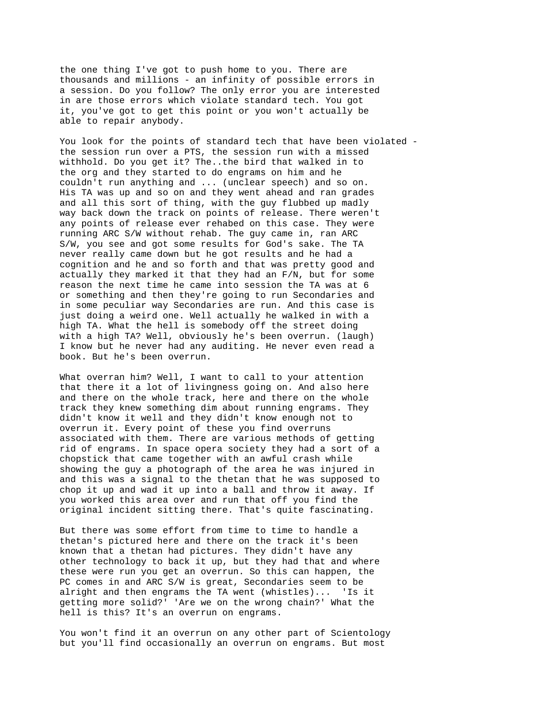the one thing I've got to push home to you. There are thousands and millions - an infinity of possible errors in a session. Do you follow? The only error you are interested in are those errors which violate standard tech. You got it, you've got to get this point or you won't actually be able to repair anybody.

You look for the points of standard tech that have been violated the session run over a PTS, the session run with a missed withhold. Do you get it? The..the bird that walked in to the org and they started to do engrams on him and he couldn't run anything and ... (unclear speech) and so on. His TA was up and so on and they went ahead and ran grades and all this sort of thing, with the guy flubbed up madly way back down the track on points of release. There weren't any points of release ever rehabed on this case. They were running ARC S/W without rehab. The guy came in, ran ARC S/W, you see and got some results for God's sake. The TA never really came down but he got results and he had a cognition and he and so forth and that was pretty good and actually they marked it that they had an F/N, but for some reason the next time he came into session the TA was at 6 or something and then they're going to run Secondaries and in some peculiar way Secondaries are run. And this case is just doing a weird one. Well actually he walked in with a high TA. What the hell is somebody off the street doing with a high TA? Well, obviously he's been overrun. (laugh) I know but he never had any auditing. He never even read a book. But he's been overrun.

What overran him? Well, I want to call to your attention that there it a lot of livingness going on. And also here and there on the whole track, here and there on the whole track they knew something dim about running engrams. They didn't know it well and they didn't know enough not to overrun it. Every point of these you find overruns associated with them. There are various methods of getting rid of engrams. In space opera society they had a sort of a chopstick that came together with an awful crash while showing the guy a photograph of the area he was injured in and this was a signal to the thetan that he was supposed to chop it up and wad it up into a ball and throw it away. If you worked this area over and run that off you find the original incident sitting there. That's quite fascinating.

But there was some effort from time to time to handle a thetan's pictured here and there on the track it's been known that a thetan had pictures. They didn't have any other technology to back it up, but they had that and where these were run you get an overrun. So this can happen, the PC comes in and ARC S/W is great, Secondaries seem to be alright and then engrams the TA went (whistles)... 'Is it getting more solid?' 'Are we on the wrong chain?' What the hell is this? It's an overrun on engrams.

You won't find it an overrun on any other part of Scientology but you'll find occasionally an overrun on engrams. But most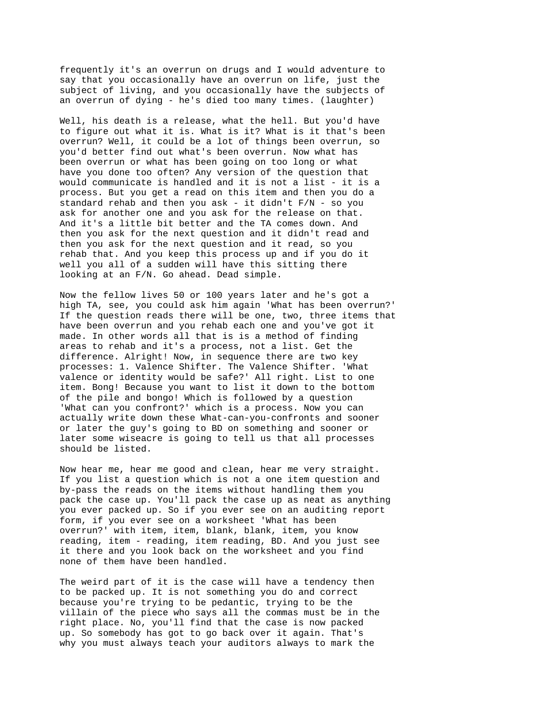frequently it's an overrun on drugs and I would adventure to say that you occasionally have an overrun on life, just the subject of living, and you occasionally have the subjects of an overrun of dying - he's died too many times. (laughter)

Well, his death is a release, what the hell. But you'd have to figure out what it is. What is it? What is it that's been overrun? Well, it could be a lot of things been overrun, so you'd better find out what's been overrun. Now what has been overrun or what has been going on too long or what have you done too often? Any version of the question that would communicate is handled and it is not a list - it is a process. But you get a read on this item and then you do a standard rehab and then you ask - it didn't F/N - so you ask for another one and you ask for the release on that. And it's a little bit better and the TA comes down. And then you ask for the next question and it didn't read and then you ask for the next question and it read, so you rehab that. And you keep this process up and if you do it well you all of a sudden will have this sitting there looking at an F/N. Go ahead. Dead simple.

Now the fellow lives 50 or 100 years later and he's got a high TA, see, you could ask him again 'What has been overrun?' If the question reads there will be one, two, three items that have been overrun and you rehab each one and you've got it made. In other words all that is is a method of finding areas to rehab and it's a process, not a list. Get the difference. Alright! Now, in sequence there are two key processes: 1. Valence Shifter. The Valence Shifter. 'What valence or identity would be safe?' All right. List to one item. Bong! Because you want to list it down to the bottom of the pile and bongo! Which is followed by a question 'What can you confront?' which is a process. Now you can actually write down these What-can-you-confronts and sooner or later the guy's going to BD on something and sooner or later some wiseacre is going to tell us that all processes should be listed.

Now hear me, hear me good and clean, hear me very straight. If you list a question which is not a one item question and by-pass the reads on the items without handling them you pack the case up. You'll pack the case up as neat as anything you ever packed up. So if you ever see on an auditing report form, if you ever see on a worksheet 'What has been overrun?' with item, item, blank, blank, item, you know reading, item - reading, item reading, BD. And you just see it there and you look back on the worksheet and you find none of them have been handled.

The weird part of it is the case will have a tendency then to be packed up. It is not something you do and correct because you're trying to be pedantic, trying to be the villain of the piece who says all the commas must be in the right place. No, you'll find that the case is now packed up. So somebody has got to go back over it again. That's why you must always teach your auditors always to mark the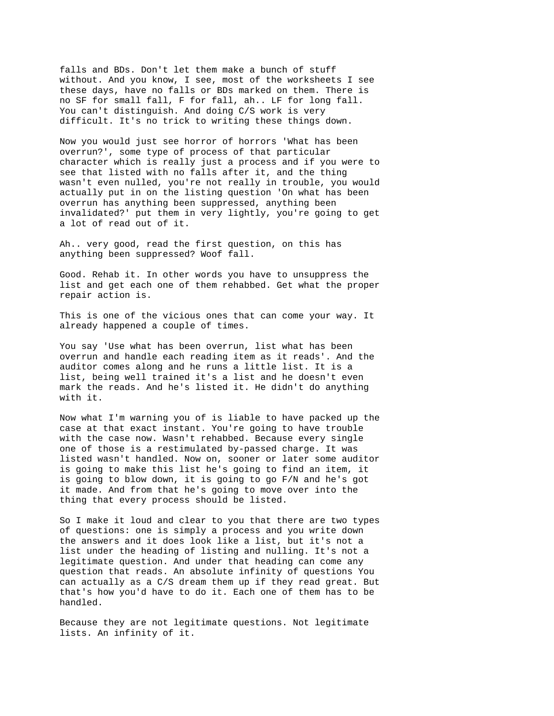falls and BDs. Don't let them make a bunch of stuff without. And you know, I see, most of the worksheets I see these days, have no falls or BDs marked on them. There is no SF for small fall, F for fall, ah.. LF for long fall. You can't distinguish. And doing C/S work is very difficult. It's no trick to writing these things down.

Now you would just see horror of horrors 'What has been overrun?', some type of process of that particular character which is really just a process and if you were to see that listed with no falls after it, and the thing wasn't even nulled, you're not really in trouble, you would actually put in on the listing question 'On what has been overrun has anything been suppressed, anything been invalidated?' put them in very lightly, you're going to get a lot of read out of it.

Ah.. very good, read the first question, on this has anything been suppressed? Woof fall.

Good. Rehab it. In other words you have to unsuppress the list and get each one of them rehabbed. Get what the proper repair action is.

This is one of the vicious ones that can come your way. It already happened a couple of times.

You say 'Use what has been overrun, list what has been overrun and handle each reading item as it reads'. And the auditor comes along and he runs a little list. It is a list, being well trained it's a list and he doesn't even mark the reads. And he's listed it. He didn't do anything with it.

Now what I'm warning you of is liable to have packed up the case at that exact instant. You're going to have trouble with the case now. Wasn't rehabbed. Because every single one of those is a restimulated by-passed charge. It was listed wasn't handled. Now on, sooner or later some auditor is going to make this list he's going to find an item, it is going to blow down, it is going to go F/N and he's got it made. And from that he's going to move over into the thing that every process should be listed.

So I make it loud and clear to you that there are two types of questions: one is simply a process and you write down the answers and it does look like a list, but it's not a list under the heading of listing and nulling. It's not a legitimate question. And under that heading can come any question that reads. An absolute infinity of questions You can actually as a C/S dream them up if they read great. But that's how you'd have to do it. Each one of them has to be handled.

Because they are not legitimate questions. Not legitimate lists. An infinity of it.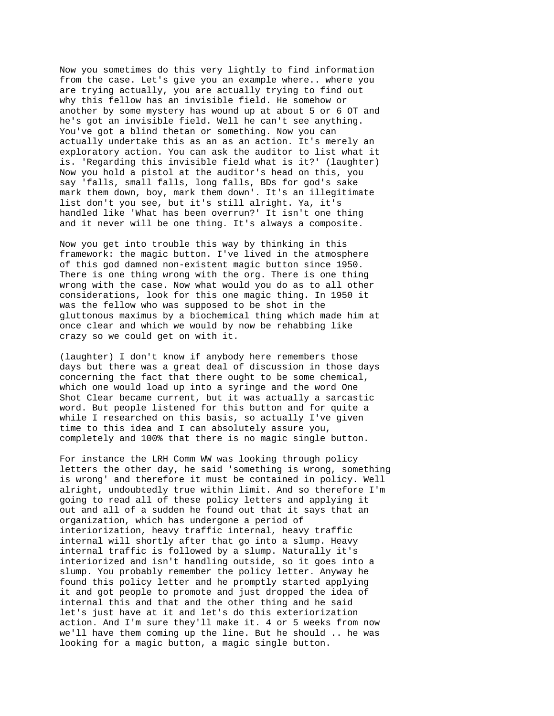Now you sometimes do this very lightly to find information from the case. Let's give you an example where.. where you are trying actually, you are actually trying to find out why this fellow has an invisible field. He somehow or another by some mystery has wound up at about 5 or 6 OT and he's got an invisible field. Well he can't see anything. You've got a blind thetan or something. Now you can actually undertake this as an as an action. It's merely an exploratory action. You can ask the auditor to list what it is. 'Regarding this invisible field what is it?' (laughter) Now you hold a pistol at the auditor's head on this, you say 'falls, small falls, long falls, BDs for god's sake mark them down, boy, mark them down'. It's an illegitimate list don't you see, but it's still alright. Ya, it's handled like 'What has been overrun?' It isn't one thing and it never will be one thing. It's always a composite.

Now you get into trouble this way by thinking in this framework: the magic button. I've lived in the atmosphere of this god damned non-existent magic button since 1950. There is one thing wrong with the org. There is one thing wrong with the case. Now what would you do as to all other considerations, look for this one magic thing. In 1950 it was the fellow who was supposed to be shot in the gluttonous maximus by a biochemical thing which made him at once clear and which we would by now be rehabbing like crazy so we could get on with it.

(laughter) I don't know if anybody here remembers those days but there was a great deal of discussion in those days concerning the fact that there ought to be some chemical, which one would load up into a syringe and the word One Shot Clear became current, but it was actually a sarcastic word. But people listened for this button and for quite a while I researched on this basis, so actually I've given time to this idea and I can absolutely assure you, completely and 100% that there is no magic single button.

For instance the LRH Comm WW was looking through policy letters the other day, he said 'something is wrong, something is wrong' and therefore it must be contained in policy. Well alright, undoubtedly true within limit. And so therefore I'm going to read all of these policy letters and applying it out and all of a sudden he found out that it says that an organization, which has undergone a period of interiorization, heavy traffic internal, heavy traffic internal will shortly after that go into a slump. Heavy internal traffic is followed by a slump. Naturally it's interiorized and isn't handling outside, so it goes into a slump. You probably remember the policy letter. Anyway he found this policy letter and he promptly started applying it and got people to promote and just dropped the idea of internal this and that and the other thing and he said let's just have at it and let's do this exteriorization action. And I'm sure they'll make it. 4 or 5 weeks from now we'll have them coming up the line. But he should .. he was looking for a magic button, a magic single button.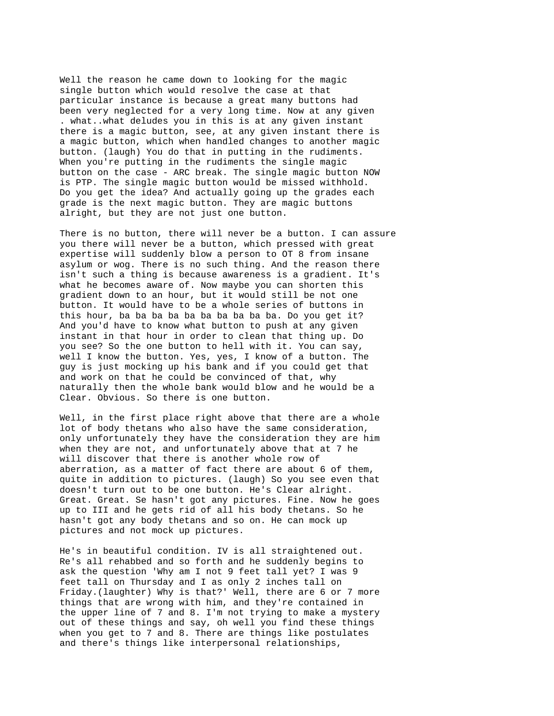Well the reason he came down to looking for the magic single button which would resolve the case at that particular instance is because a great many buttons had been very neglected for a very long time. Now at any given . what..what deludes you in this is at any given instant there is a magic button, see, at any given instant there is a magic button, which when handled changes to another magic button. (laugh) You do that in putting in the rudiments. When you're putting in the rudiments the single magic button on the case - ARC break. The single magic button NOW is PTP. The single magic button would be missed withhold. Do you get the idea? And actually going up the grades each grade is the next magic button. They are magic buttons alright, but they are not just one button.

There is no button, there will never be a button. I can assure you there will never be a button, which pressed with great expertise will suddenly blow a person to OT 8 from insane asylum or wog. There is no such thing. And the reason there isn't such a thing is because awareness is a gradient. It's what he becomes aware of. Now maybe you can shorten this gradient down to an hour, but it would still be not one button. It would have to be a whole series of buttons in this hour, ba ba ba ba ba ba ba ba ba ba. Do you get it? And you'd have to know what button to push at any given instant in that hour in order to clean that thing up. Do you see? So the one button to hell with it. You can say, well I know the button. Yes, yes, I know of a button. The guy is just mocking up his bank and if you could get that and work on that he could be convinced of that, why naturally then the whole bank would blow and he would be a Clear. Obvious. So there is one button.

Well, in the first place right above that there are a whole lot of body thetans who also have the same consideration, only unfortunately they have the consideration they are him when they are not, and unfortunately above that at 7 he will discover that there is another whole row of aberration, as a matter of fact there are about 6 of them, quite in addition to pictures. (laugh) So you see even that doesn't turn out to be one button. He's Clear alright. Great. Great. Se hasn't got any pictures. Fine. Now he goes up to III and he gets rid of all his body thetans. So he hasn't got any body thetans and so on. He can mock up pictures and not mock up pictures.

He's in beautiful condition. IV is all straightened out. Re's all rehabbed and so forth and he suddenly begins to ask the question 'Why am I not 9 feet tall yet? I was 9 feet tall on Thursday and I as only 2 inches tall on Friday.(laughter) Why is that?' Well, there are 6 or 7 more things that are wrong with him, and they're contained in the upper line of 7 and 8. I'm not trying to make a mystery out of these things and say, oh well you find these things when you get to 7 and 8. There are things like postulates and there's things like interpersonal relationships,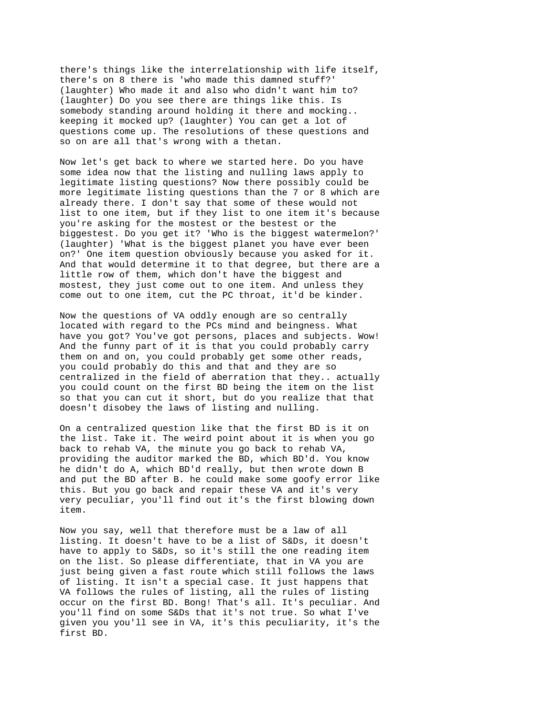there's things like the interrelationship with life itself, there's on 8 there is 'who made this damned stuff?' (laughter) Who made it and also who didn't want him to? (laughter) Do you see there are things like this. Is somebody standing around holding it there and mocking.. keeping it mocked up? (laughter) You can get a lot of questions come up. The resolutions of these questions and so on are all that's wrong with a thetan.

Now let's get back to where we started here. Do you have some idea now that the listing and nulling laws apply to legitimate listing questions? Now there possibly could be more legitimate listing questions than the 7 or 8 which are already there. I don't say that some of these would not list to one item, but if they list to one item it's because you're asking for the mostest or the bestest or the biggestest. Do you get it? 'Who is the biggest watermelon?' (laughter) 'What is the biggest planet you have ever been on?' One item question obviously because you asked for it. And that would determine it to that degree, but there are a little row of them, which don't have the biggest and mostest, they just come out to one item. And unless they come out to one item, cut the PC throat, it'd be kinder.

Now the questions of VA oddly enough are so centrally located with regard to the PCs mind and beingness. What have you got? You've got persons, places and subjects. Wow! And the funny part of it is that you could probably carry them on and on, you could probably get some other reads, you could probably do this and that and they are so centralized in the field of aberration that they.. actually you could count on the first BD being the item on the list so that you can cut it short, but do you realize that that doesn't disobey the laws of listing and nulling.

On a centralized question like that the first BD is it on the list. Take it. The weird point about it is when you go back to rehab VA, the minute you go back to rehab VA, providing the auditor marked the BD, which BD'd. You know he didn't do A, which BD'd really, but then wrote down B and put the BD after B. he could make some goofy error like this. But you go back and repair these VA and it's very very peculiar, you'll find out it's the first blowing down item.

Now you say, well that therefore must be a law of all listing. It doesn't have to be a list of S&Ds, it doesn't have to apply to S&Ds, so it's still the one reading item on the list. So please differentiate, that in VA you are just being given a fast route which still follows the laws of listing. It isn't a special case. It just happens that VA follows the rules of listing, all the rules of listing occur on the first BD. Bong! That's all. It's peculiar. And you'll find on some S&Ds that it's not true. So what I've given you you'll see in VA, it's this peculiarity, it's the first BD.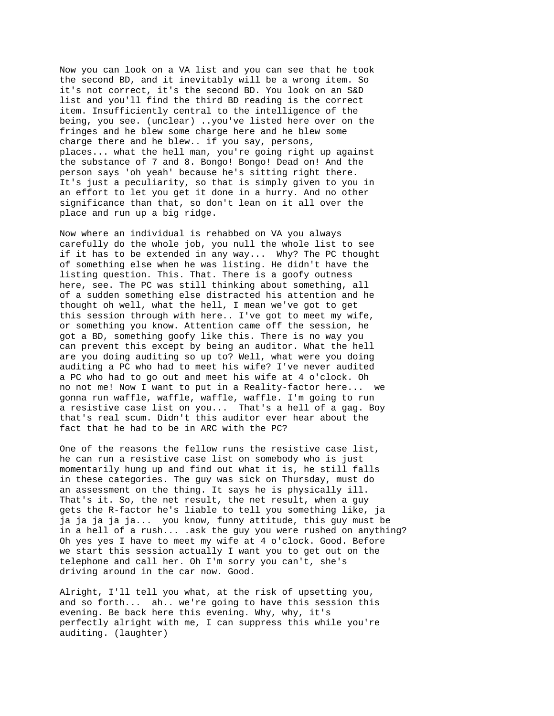Now you can look on a VA list and you can see that he took the second BD, and it inevitably will be a wrong item. So it's not correct, it's the second BD. You look on an S&D list and you'll find the third BD reading is the correct item. Insufficiently central to the intelligence of the being, you see. (unclear) ..you've listed here over on the fringes and he blew some charge here and he blew some charge there and he blew.. if you say, persons, places... what the hell man, you're going right up against the substance of 7 and 8. Bongo! Bongo! Dead on! And the person says 'oh yeah' because he's sitting right there. It's just a peculiarity, so that is simply given to you in an effort to let you get it done in a hurry. And no other significance than that, so don't lean on it all over the place and run up a big ridge.

Now where an individual is rehabbed on VA you always carefully do the whole job, you null the whole list to see if it has to be extended in any way... Why? The PC thought of something else when he was listing. He didn't have the listing question. This. That. There is a goofy outness here, see. The PC was still thinking about something, all of a sudden something else distracted his attention and he thought oh well, what the hell, I mean we've got to get this session through with here.. I've got to meet my wife, or something you know. Attention came off the session, he got a BD, something goofy like this. There is no way you can prevent this except by being an auditor. What the hell are you doing auditing so up to? Well, what were you doing auditing a PC who had to meet his wife? I've never audited a PC who had to go out and meet his wife at 4 o'clock. Oh no not me! Now I want to put in a Reality-factor here... we gonna run waffle, waffle, waffle, waffle. I'm going to run a resistive case list on you... That's a hell of a gag. Boy that's real scum. Didn't this auditor ever hear about the fact that he had to be in ARC with the PC?

One of the reasons the fellow runs the resistive case list, he can run a resistive case list on somebody who is just momentarily hung up and find out what it is, he still falls in these categories. The guy was sick on Thursday, must do an assessment on the thing. It says he is physically ill. That's it. So, the net result, the net result, when a guy gets the R-factor he's liable to tell you something like, ja ja ja ja ja ja... you know, funny attitude, this guy must be in a hell of a rush... .ask the guy you were rushed on anything? Oh yes yes I have to meet my wife at 4 o'clock. Good. Before we start this session actually I want you to get out on the telephone and call her. Oh I'm sorry you can't, she's driving around in the car now. Good.

Alright, I'll tell you what, at the risk of upsetting you, and so forth... ah.. we're going to have this session this evening. Be back here this evening. Why, why, it's perfectly alright with me, I can suppress this while you're auditing. (laughter)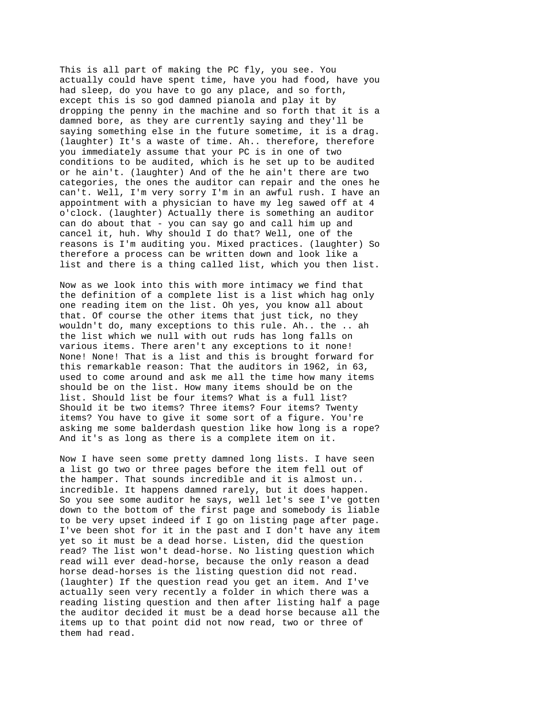This is all part of making the PC fly, you see. You actually could have spent time, have you had food, have you had sleep, do you have to go any place, and so forth, except this is so god damned pianola and play it by dropping the penny in the machine and so forth that it is a damned bore, as they are currently saying and they'll be saying something else in the future sometime, it is a drag. (laughter) It's a waste of time. Ah.. therefore, therefore you immediately assume that your PC is in one of two conditions to be audited, which is he set up to be audited or he ain't. (laughter) And of the he ain't there are two categories, the ones the auditor can repair and the ones he can't. Well, I'm very sorry I'm in an awful rush. I have an appointment with a physician to have my leg sawed off at 4 o'clock. (laughter) Actually there is something an auditor can do about that - you can say go and call him up and cancel it, huh. Why should I do that? Well, one of the reasons is I'm auditing you. Mixed practices. (laughter) So therefore a process can be written down and look like a list and there is a thing called list, which you then list.

Now as we look into this with more intimacy we find that the definition of a complete list is a list which hag only one reading item on the list. Oh yes, you know all about that. Of course the other items that just tick, no they wouldn't do, many exceptions to this rule. Ah.. the .. ah the list which we null with out ruds has long falls on various items. There aren't any exceptions to it none! None! None! That is a list and this is brought forward for this remarkable reason: That the auditors in 1962, in 63, used to come around and ask me all the time how many items should be on the list. How many items should be on the list. Should list be four items? What is a full list? Should it be two items? Three items? Four items? Twenty items? You have to give it some sort of a figure. You're asking me some balderdash question like how long is a rope? And it's as long as there is a complete item on it.

Now I have seen some pretty damned long lists. I have seen a list go two or three pages before the item fell out of the hamper. That sounds incredible and it is almost un.. incredible. It happens damned rarely, but it does happen. So you see some auditor he says, well let's see I've gotten down to the bottom of the first page and somebody is liable to be very upset indeed if I go on listing page after page. I've been shot for it in the past and I don't have any item yet so it must be a dead horse. Listen, did the question read? The list won't dead-horse. No listing question which read will ever dead-horse, because the only reason a dead horse dead-horses is the listing question did not read. (laughter) If the question read you get an item. And I've actually seen very recently a folder in which there was a reading listing question and then after listing half a page the auditor decided it must be a dead horse because all the items up to that point did not now read, two or three of them had read.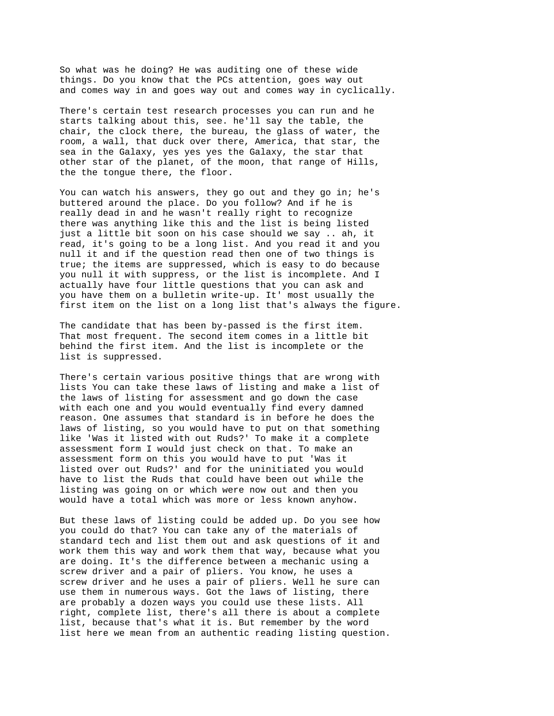So what was he doing? He was auditing one of these wide things. Do you know that the PCs attention, goes way out and comes way in and goes way out and comes way in cyclically.

There's certain test research processes you can run and he starts talking about this, see. he'll say the table, the chair, the clock there, the bureau, the glass of water, the room, a wall, that duck over there, America, that star, the sea in the Galaxy, yes yes yes the Galaxy, the star that other star of the planet, of the moon, that range of Hills, the the tongue there, the floor.

You can watch his answers, they go out and they go in; he's buttered around the place. Do you follow? And if he is really dead in and he wasn't really right to recognize there was anything like this and the list is being listed just a little bit soon on his case should we say .. ah, it read, it's going to be a long list. And you read it and you null it and if the question read then one of two things is true; the items are suppressed, which is easy to do because you null it with suppress, or the list is incomplete. And I actually have four little questions that you can ask and you have them on a bulletin write-up. It' most usually the first item on the list on a long list that's always the figure.

The candidate that has been by-passed is the first item. That most frequent. The second item comes in a little bit behind the first item. And the list is incomplete or the list is suppressed.

There's certain various positive things that are wrong with lists You can take these laws of listing and make a list of the laws of listing for assessment and go down the case with each one and you would eventually find every damned reason. One assumes that standard is in before he does the laws of listing, so you would have to put on that something like 'Was it listed with out Ruds?' To make it a complete assessment form I would just check on that. To make an assessment form on this you would have to put 'Was it listed over out Ruds?' and for the uninitiated you would have to list the Ruds that could have been out while the listing was going on or which were now out and then you would have a total which was more or less known anyhow.

But these laws of listing could be added up. Do you see how you could do that? You can take any of the materials of standard tech and list them out and ask questions of it and work them this way and work them that way, because what you are doing. It's the difference between a mechanic using a screw driver and a pair of pliers. You know, he uses a screw driver and he uses a pair of pliers. Well he sure can use them in numerous ways. Got the laws of listing, there are probably a dozen ways you could use these lists. All right, complete list, there's all there is about a complete list, because that's what it is. But remember by the word list here we mean from an authentic reading listing question.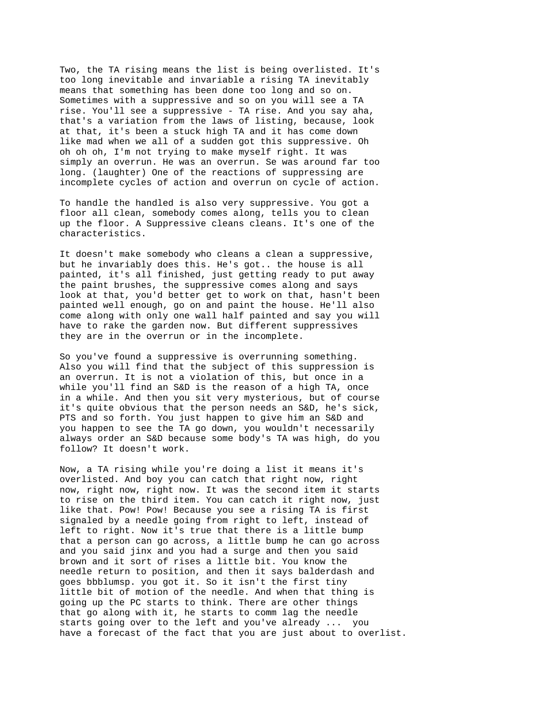Two, the TA rising means the list is being overlisted. It's too long inevitable and invariable a rising TA inevitably means that something has been done too long and so on. Sometimes with a suppressive and so on you will see a TA rise. You'll see a suppressive - TA rise. And you say aha, that's a variation from the laws of listing, because, look at that, it's been a stuck high TA and it has come down like mad when we all of a sudden got this suppressive. Oh oh oh oh, I'm not trying to make myself right. It was simply an overrun. He was an overrun. Se was around far too long. (laughter) One of the reactions of suppressing are incomplete cycles of action and overrun on cycle of action.

To handle the handled is also very suppressive. You got a floor all clean, somebody comes along, tells you to clean up the floor. A Suppressive cleans cleans. It's one of the characteristics.

It doesn't make somebody who cleans a clean a suppressive, but he invariably does this. He's got.. the house is all painted, it's all finished, just getting ready to put away the paint brushes, the suppressive comes along and says look at that, you'd better get to work on that, hasn't been painted well enough, go on and paint the house. He'll also come along with only one wall half painted and say you will have to rake the garden now. But different suppressives they are in the overrun or in the incomplete.

So you've found a suppressive is overrunning something. Also you will find that the subject of this suppression is an overrun. It is not a violation of this, but once in a while you'll find an S&D is the reason of a high TA, once in a while. And then you sit very mysterious, but of course it's quite obvious that the person needs an S&D, he's sick, PTS and so forth. You just happen to give him an S&D and you happen to see the TA go down, you wouldn't necessarily always order an S&D because some body's TA was high, do you follow? It doesn't work.

Now, a TA rising while you're doing a list it means it's overlisted. And boy you can catch that right now, right now, right now, right now. It was the second item it starts to rise on the third item. You can catch it right now, just like that. Pow! Pow! Because you see a rising TA is first signaled by a needle going from right to left, instead of left to right. Now it's true that there is a little bump that a person can go across, a little bump he can go across and you said jinx and you had a surge and then you said brown and it sort of rises a little bit. You know the needle return to position, and then it says balderdash and goes bbblumsp. you got it. So it isn't the first tiny little bit of motion of the needle. And when that thing is going up the PC starts to think. There are other things that go along with it, he starts to comm lag the needle starts going over to the left and you've already ... you have a forecast of the fact that you are just about to overlist.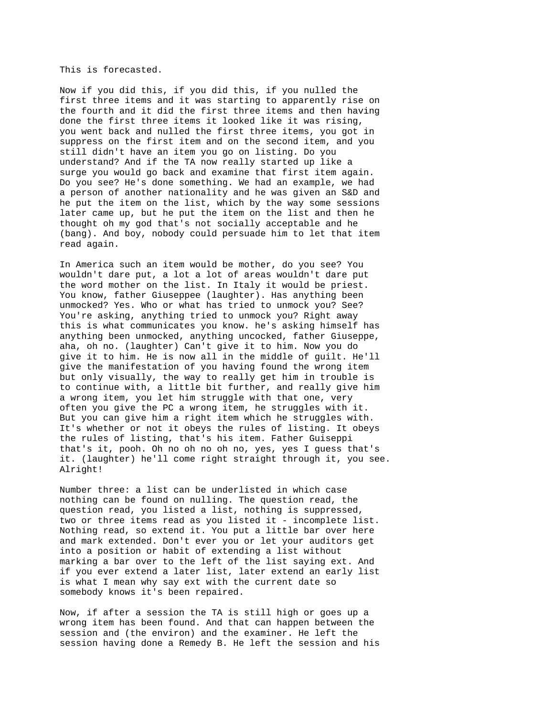This is forecasted.

Now if you did this, if you did this, if you nulled the first three items and it was starting to apparently rise on the fourth and it did the first three items and then having done the first three items it looked like it was rising, you went back and nulled the first three items, you got in suppress on the first item and on the second item, and you still didn't have an item you go on listing. Do you understand? And if the TA now really started up like a surge you would go back and examine that first item again. Do you see? He's done something. We had an example, we had a person of another nationality and he was given an S&D and he put the item on the list, which by the way some sessions later came up, but he put the item on the list and then he thought oh my god that's not socially acceptable and he (bang). And boy, nobody could persuade him to let that item read again.

In America such an item would be mother, do you see? You wouldn't dare put, a lot a lot of areas wouldn't dare put the word mother on the list. In Italy it would be priest. You know, father Giuseppee (laughter). Has anything been unmocked? Yes. Who or what has tried to unmock you? See? You're asking, anything tried to unmock you? Right away this is what communicates you know. he's asking himself has anything been unmocked, anything uncocked, father Giuseppe, aha, oh no. (laughter) Can't give it to him. Now you do give it to him. He is now all in the middle of guilt. He'll give the manifestation of you having found the wrong item but only visually, the way to really get him in trouble is to continue with, a little bit further, and really give him a wrong item, you let him struggle with that one, very often you give the PC a wrong item, he struggles with it. But you can give him a right item which he struggles with. It's whether or not it obeys the rules of listing. It obeys the rules of listing, that's his item. Father Guiseppi that's it, pooh. Oh no oh no oh no, yes, yes I guess that's it. (laughter) he'll come right straight through it, you see. Alright!

Number three: a list can be underlisted in which case nothing can be found on nulling. The question read, the question read, you listed a list, nothing is suppressed, two or three items read as you listed it - incomplete list. Nothing read, so extend it. You put a little bar over here and mark extended. Don't ever you or let your auditors get into a position or habit of extending a list without marking a bar over to the left of the list saying ext. And if you ever extend a later list, later extend an early list is what I mean why say ext with the current date so somebody knows it's been repaired.

Now, if after a session the TA is still high or goes up a wrong item has been found. And that can happen between the session and (the environ) and the examiner. He left the session having done a Remedy B. He left the session and his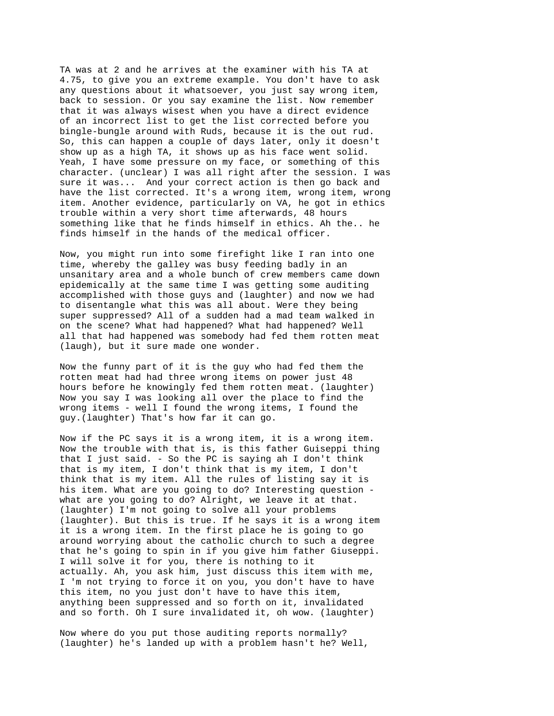TA was at 2 and he arrives at the examiner with his TA at 4.75, to give you an extreme example. You don't have to ask any questions about it whatsoever, you just say wrong item, back to session. Or you say examine the list. Now remember that it was always wisest when you have a direct evidence of an incorrect list to get the list corrected before you bingle-bungle around with Ruds, because it is the out rud. So, this can happen a couple of days later, only it doesn't show up as a high TA, it shows up as his face went solid. Yeah, I have some pressure on my face, or something of this character. (unclear) I was all right after the session. I was sure it was... And your correct action is then go back and have the list corrected. It's a wrong item, wrong item, wrong item. Another evidence, particularly on VA, he got in ethics trouble within a very short time afterwards, 48 hours something like that he finds himself in ethics. Ah the.. he finds himself in the hands of the medical officer.

Now, you might run into some firefight like I ran into one time, whereby the galley was busy feeding badly in an unsanitary area and a whole bunch of crew members came down epidemically at the same time I was getting some auditing accomplished with those guys and (laughter) and now we had to disentangle what this was all about. Were they being super suppressed? All of a sudden had a mad team walked in on the scene? What had happened? What had happened? Well all that had happened was somebody had fed them rotten meat (laugh), but it sure made one wonder.

Now the funny part of it is the guy who had fed them the rotten meat had had three wrong items on power just 48 hours before he knowingly fed them rotten meat. (laughter) Now you say I was looking all over the place to find the wrong items - well I found the wrong items, I found the guy.(laughter) That's how far it can go.

Now if the PC says it is a wrong item, it is a wrong item. Now the trouble with that is, is this father Guiseppi thing that I just said. - So the PC is saying ah I don't think that is my item, I don't think that is my item, I don't think that is my item. All the rules of listing say it is his item. What are you going to do? Interesting question what are you going to do? Alright, we leave it at that. (laughter) I'm not going to solve all your problems (laughter). But this is true. If he says it is a wrong item it is a wrong item. In the first place he is going to go around worrying about the catholic church to such a degree that he's going to spin in if you give him father Giuseppi. I will solve it for you, there is nothing to it actually. Ah, you ask him, just discuss this item with me, I 'm not trying to force it on you, you don't have to have this item, no you just don't have to have this item, anything been suppressed and so forth on it, invalidated and so forth. Oh I sure invalidated it, oh wow. (laughter)

Now where do you put those auditing reports normally? (laughter) he's landed up with a problem hasn't he? Well,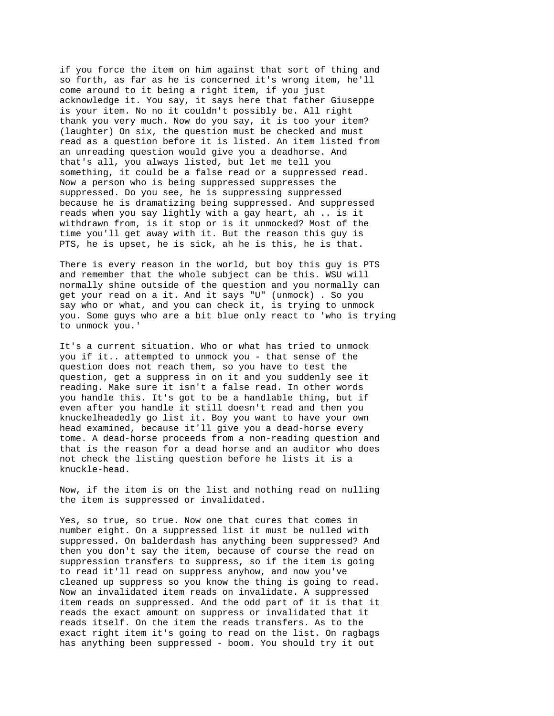if you force the item on him against that sort of thing and so forth, as far as he is concerned it's wrong item, he'll come around to it being a right item, if you just acknowledge it. You say, it says here that father Giuseppe is your item. No no it couldn't possibly be. All right thank you very much. Now do you say, it is too your item? (laughter) On six, the question must be checked and must read as a question before it is listed. An item listed from an unreading question would give you a deadhorse. And that's all, you always listed, but let me tell you something, it could be a false read or a suppressed read. Now a person who is being suppressed suppresses the suppressed. Do you see, he is suppressing suppressed because he is dramatizing being suppressed. And suppressed reads when you say lightly with a gay heart, ah .. is it withdrawn from, is it stop or is it unmocked? Most of the time you'll get away with it. But the reason this guy is PTS, he is upset, he is sick, ah he is this, he is that.

There is every reason in the world, but boy this guy is PTS and remember that the whole subject can be this. WSU will normally shine outside of the question and you normally can get your read on a it. And it says "U" (unmock) . So you say who or what, and you can check it, is trying to unmock you. Some guys who are a bit blue only react to 'who is trying to unmock you.'

It's a current situation. Who or what has tried to unmock you if it.. attempted to unmock you - that sense of the question does not reach them, so you have to test the question, get a suppress in on it and you suddenly see it reading. Make sure it isn't a false read. In other words you handle this. It's got to be a handlable thing, but if even after you handle it still doesn't read and then you knuckelheadedly go list it. Boy you want to have your own head examined, because it'll give you a dead-horse every tome. A dead-horse proceeds from a non-reading question and that is the reason for a dead horse and an auditor who does not check the listing question before he lists it is a knuckle-head.

Now, if the item is on the list and nothing read on nulling the item is suppressed or invalidated.

Yes, so true, so true. Now one that cures that comes in number eight. On a suppressed list it must be nulled with suppressed. On balderdash has anything been suppressed? And then you don't say the item, because of course the read on suppression transfers to suppress, so if the item is going to read it'll read on suppress anyhow, and now you've cleaned up suppress so you know the thing is going to read. Now an invalidated item reads on invalidate. A suppressed item reads on suppressed. And the odd part of it is that it reads the exact amount on suppress or invalidated that it reads itself. On the item the reads transfers. As to the exact right item it's going to read on the list. On ragbags has anything been suppressed - boom. You should try it out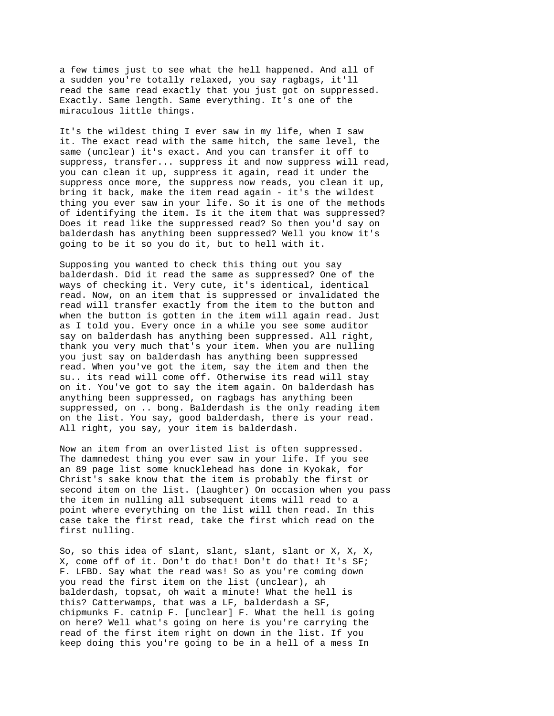a few times just to see what the hell happened. And all of a sudden you're totally relaxed, you say ragbags, it'll read the same read exactly that you just got on suppressed. Exactly. Same length. Same everything. It's one of the miraculous little things.

It's the wildest thing I ever saw in my life, when I saw it. The exact read with the same hitch, the same level, the same (unclear) it's exact. And you can transfer it off to suppress, transfer... suppress it and now suppress will read, you can clean it up, suppress it again, read it under the suppress once more, the suppress now reads, you clean it up, bring it back, make the item read again - it's the wildest thing you ever saw in your life. So it is one of the methods of identifying the item. Is it the item that was suppressed? Does it read like the suppressed read? So then you'd say on balderdash has anything been suppressed? Well you know it's going to be it so you do it, but to hell with it.

Supposing you wanted to check this thing out you say balderdash. Did it read the same as suppressed? One of the ways of checking it. Very cute, it's identical, identical read. Now, on an item that is suppressed or invalidated the read will transfer exactly from the item to the button and when the button is gotten in the item will again read. Just as I told you. Every once in a while you see some auditor say on balderdash has anything been suppressed. All right, thank you very much that's your item. When you are nulling you just say on balderdash has anything been suppressed read. When you've got the item, say the item and then the su.. its read will come off. Otherwise its read will stay on it. You've got to say the item again. On balderdash has anything been suppressed, on ragbags has anything been suppressed, on .. bong. Balderdash is the only reading item on the list. You say, good balderdash, there is your read. All right, you say, your item is balderdash.

Now an item from an overlisted list is often suppressed. The damnedest thing you ever saw in your life. If you see an 89 page list some knucklehead has done in Kyokak, for Christ's sake know that the item is probably the first or second item on the list. (laughter) On occasion when you pass the item in nulling all subsequent items will read to a point where everything on the list will then read. In this case take the first read, take the first which read on the first nulling.

So, so this idea of slant, slant, slant, slant or X, X, X, X, come off of it. Don't do that! Don't do that! It's SF; F. LFBD. Say what the read was! So as you're coming down you read the first item on the list (unclear), ah balderdash, topsat, oh wait a minute! What the hell is this? Catterwamps, that was a LF, balderdash a SF, chipmunks F. catnip F. [unclear] F. What the hell is going on here? Well what's going on here is you're carrying the read of the first item right on down in the list. If you keep doing this you're going to be in a hell of a mess In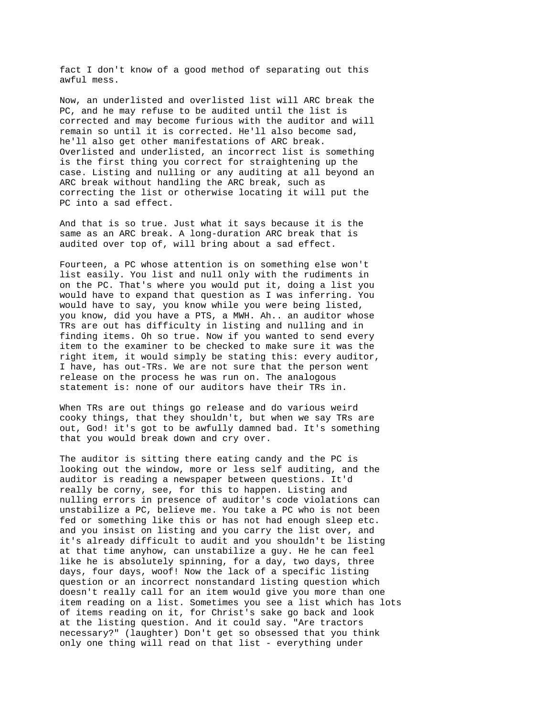fact I don't know of a good method of separating out this awful mess.

Now, an underlisted and overlisted list will ARC break the PC, and he may refuse to be audited until the list is corrected and may become furious with the auditor and will remain so until it is corrected. He'll also become sad, he'll also get other manifestations of ARC break. Overlisted and underlisted, an incorrect list is something is the first thing you correct for straightening up the case. Listing and nulling or any auditing at all beyond an ARC break without handling the ARC break, such as correcting the list or otherwise locating it will put the PC into a sad effect.

And that is so true. Just what it says because it is the same as an ARC break. A long-duration ARC break that is audited over top of, will bring about a sad effect.

Fourteen, a PC whose attention is on something else won't list easily. You list and null only with the rudiments in on the PC. That's where you would put it, doing a list you would have to expand that question as I was inferring. You would have to say, you know while you were being listed, you know, did you have a PTS, a MWH. Ah.. an auditor whose TRs are out has difficulty in listing and nulling and in finding items. Oh so true. Now if you wanted to send every item to the examiner to be checked to make sure it was the right item, it would simply be stating this: every auditor, I have, has out-TRs. We are not sure that the person went release on the process he was run on. The analogous statement is: none of our auditors have their TRs in.

When TRs are out things go release and do various weird cooky things, that they shouldn't, but when we say TRs are out, God! it's got to be awfully damned bad. It's something that you would break down and cry over.

The auditor is sitting there eating candy and the PC is looking out the window, more or less self auditing, and the auditor is reading a newspaper between questions. It'd really be corny, see, for this to happen. Listing and nulling errors in presence of auditor's code violations can unstabilize a PC, believe me. You take a PC who is not been fed or something like this or has not had enough sleep etc. and you insist on listing and you carry the list over, and it's already difficult to audit and you shouldn't be listing at that time anyhow, can unstabilize a guy. He he can feel like he is absolutely spinning, for a day, two days, three days, four days, woof! Now the lack of a specific listing question or an incorrect nonstandard listing question which doesn't really call for an item would give you more than one item reading on a list. Sometimes you see a list which has lots of items reading on it, for Christ's sake go back and look at the listing question. And it could say. "Are tractors necessary?" (laughter) Don't get so obsessed that you think only one thing will read on that list - everything under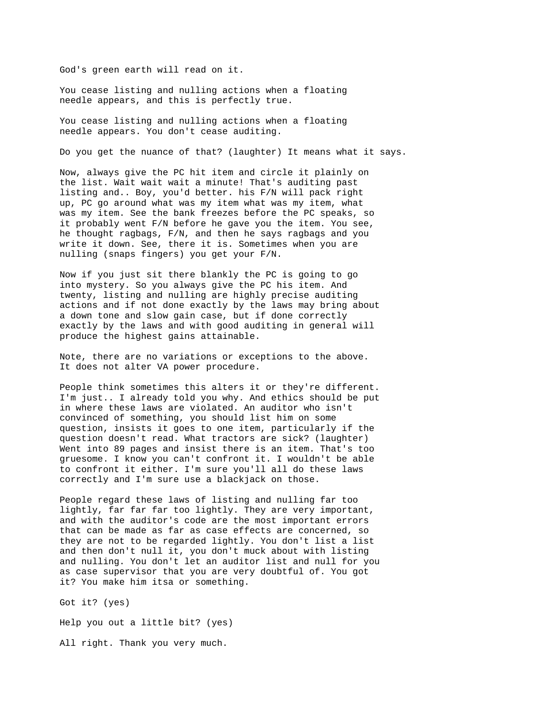God's green earth will read on it.

You cease listing and nulling actions when a floating needle appears, and this is perfectly true.

You cease listing and nulling actions when a floating needle appears. You don't cease auditing.

Do you get the nuance of that? (laughter) It means what it says.

Now, always give the PC hit item and circle it plainly on the list. Wait wait wait a minute! That's auditing past listing and.. Boy, you'd better. his F/N will pack right up, PC go around what was my item what was my item, what was my item. See the bank freezes before the PC speaks, so it probably went F/N before he gave you the item. You see, he thought ragbags, F/N, and then he says ragbags and you write it down. See, there it is. Sometimes when you are nulling (snaps fingers) you get your F/N.

Now if you just sit there blankly the PC is going to go into mystery. So you always give the PC his item. And twenty, listing and nulling are highly precise auditing actions and if not done exactly by the laws may bring about a down tone and slow gain case, but if done correctly exactly by the laws and with good auditing in general will produce the highest gains attainable.

Note, there are no variations or exceptions to the above. It does not alter VA power procedure.

People think sometimes this alters it or they're different. I'm just.. I already told you why. And ethics should be put in where these laws are violated. An auditor who isn't convinced of something, you should list him on some question, insists it goes to one item, particularly if the question doesn't read. What tractors are sick? (laughter) Went into 89 pages and insist there is an item. That's too gruesome. I know you can't confront it. I wouldn't be able to confront it either. I'm sure you'll all do these laws correctly and I'm sure use a blackjack on those.

People regard these laws of listing and nulling far too lightly, far far far too lightly. They are very important, and with the auditor's code are the most important errors that can be made as far as case effects are concerned, so they are not to be regarded lightly. You don't list a list and then don't null it, you don't muck about with listing and nulling. You don't let an auditor list and null for you as case supervisor that you are very doubtful of. You got it? You make him itsa or something.

Got it? (yes)

Help you out a little bit? (yes)

All right. Thank you very much.